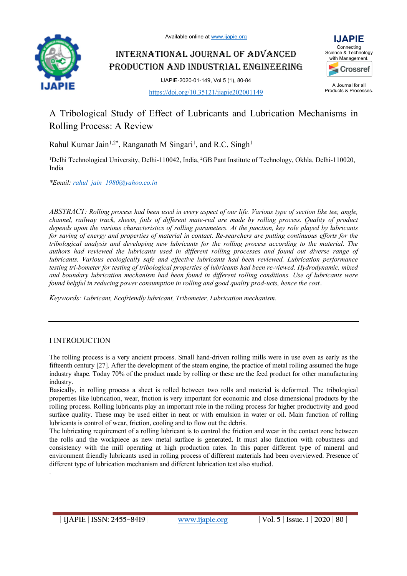Available online at www.ijapie.org



INTERNATIONAL JOURNAL OF ADVANCED PRODUCTION AND INDUSTRIAL ENGINEERING



A Journal for all Products & Processes.

IJAPIE-2020-01-149, Vol 5 (1), 80-84 https://doi.org/10.35121/ijapie202001149

# A Tribological Study of Effect of Lubricants and Lubrication Mechanisms in Rolling Process: A Review

Rahul Kumar Jain<sup>1,2\*</sup>, Ranganath M Singari<sup>1</sup>, and R.C. Singh<sup>1</sup>

<sup>1</sup>Delhi Technological University, Delhi-110042, India, <sup>2</sup>GB Pant Institute of Technology, Okhla, Delhi-110020, India

*\*Email: rahul\_jain\_1980@yahoo.co.in*

*ABSTRACT: Rolling process had been used in every aspect of our life. Various type of section like tee, angle, channel, railway track, sheets, foils of different mate-rial are made by rolling process. Quality of product depends upon the various characteristics of rolling parameters. At the junction, key role played by lubricants for saving of energy and properties of material in contact. Re-searchers are putting continuous efforts for the tribological analysis and developing new lubricants for the rolling process according to the material. The authors had reviewed the lubricants used in different rolling processes and found out diverse range of lubricants. Various ecologically safe and effective lubricants had been reviewed. Lubrication performance testing tri-bometer for testing of tribological properties of lubricants had been re-viewed. Hydrodynamic, mixed and boundary lubrication mechanism had been found in different rolling conditions. Use of lubricants were found helpful in reducing power consumption in rolling and good quality prod-ucts, hence the cost..*

*Keywords: Lubricant, Ecofriendly lubricant, Tribometer, Lubrication mechanism.*

# I INTRODUCTION

.

The rolling process is a very ancient process. Small hand-driven rolling mills were in use even as early as the fifteenth century [27]. After the development of the steam engine, the practice of metal rolling assumed the huge industry shape. Today 70% of the product made by rolling or these are the feed product for other manufacturing industry.

Basically, in rolling process a sheet is rolled between two rolls and material is deformed. The tribological properties like lubrication, wear, friction is very important for economic and close dimensional products by the rolling process. Rolling lubricants play an important role in the rolling process for higher productivity and good surface quality. These may be used either in neat or with emulsion in water or oil. Main function of rolling lubricants is control of wear, friction, cooling and to flow out the debris.

The lubricating requirement of a rolling lubricant is to control the friction and wear in the contact zone between the rolls and the workpiece as new metal surface is generated. It must also function with robustness and consistency with the mill operating at high production rates. In this paper different type of mineral and environment friendly lubricants used in rolling process of different materials had been overviewed. Presence of different type of lubrication mechanism and different lubrication test also studied.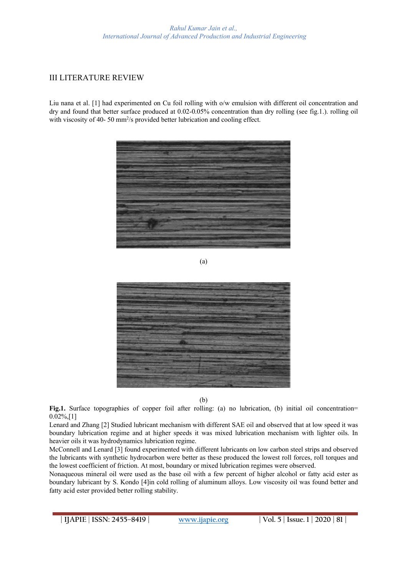# III LITERATURE REVIEW

Liu nana et al. [1] had experimented on Cu foil rolling with o/w emulsion with different oil concentration and dry and found that better surface produced at 0.02-0.05% concentration than dry rolling (see fig.1.). rolling oil with viscosity of 40-50 mm<sup>2</sup>/s provided better lubrication and cooling effect.



(a)



(b)

**Fig.1.** Surface topographies of copper foil after rolling: (a) no lubrication, (b) initial oil concentration= 0.02%,[1]

Lenard and Zhang [2] Studied lubricant mechanism with different SAE oil and observed that at low speed it was boundary lubrication regime and at higher speeds it was mixed lubrication mechanism with lighter oils. In heavier oils it was hydrodynamics lubrication regime.

McConnell and Lenard [3] found experimented with different lubricants on low carbon steel strips and observed the lubricants with synthetic hydrocarbon were better as these produced the lowest roll forces, roll torques and the lowest coefficient of friction. At most, boundary or mixed lubrication regimes were observed.

Nonaqueous mineral oil were used as the base oil with a few percent of higher alcohol or fatty acid ester as boundary lubricant by S. Kondo [4]in cold rolling of aluminum alloys. Low viscosity oil was found better and fatty acid ester provided better rolling stability.

**| IJAPIE** | **ISSN: 2455–8419 | www.ijapie.org | Vol. 5 | Issue. 1 | 2020 | 81 |**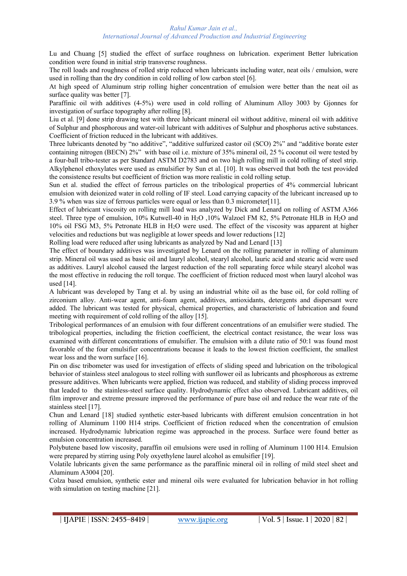Lu and Chuang [5] studied the effect of surface roughness on lubrication. experiment Better lubrication condition were found in initial strip transverse roughness.

The roll loads and roughness of rolled strip reduced when lubricants including water, neat oils / emulsion, were used in rolling than the dry condition in cold rolling of low carbon steel [6].

At high speed of Aluminum strip rolling higher concentration of emulsion were better than the neat oil as surface quality was better [7].

Paraffinic oil with additives (4-5%) were used in cold rolling of Aluminum Alloy 3003 by Gjonnes for investigation of surface topography after rolling [8].

Liu et al. [9] done strip drawing test with three lubricant mineral oil without additive, mineral oil with additive of Sulphur and phosphorous and water-oil lubricant with additives of Sulphur and phosphorus active substances. Coefficient of friction reduced in the lubricant with additives.

Three lubricants denoted by "no additive", "additive sulfurized castor oil (SCO) 2%" and "additive borate ester containing nitrogen (BECN) 2%" with base oil i.e. mixture of 35% mineral oil, 25 % coconut oil were tested by a four-ball tribo-tester as per Standard ASTM D2783 and on two high rolling mill in cold rolling of steel strip. Alkylphenol ethoxylates were used as emulsifier by Sun et al. [10]. It was observed that both the test provided the consistence results but coefficient of friction was more realistic in cold rolling setup.

Sun et al. studied the effect of ferrous particles on the tribological properties of 4% commercial lubricant emulsion with deionized water in cold rolling of IF steel. Load carrying capacity of the lubricant increased up to 3.9 % when was size of ferrous particles were equal or less than 0.3 micrometer[11].

Effect of lubricant viscosity on rolling mill load was analyzed by Dick and Lenard on rolling of ASTM A366 steel. Three type of emulsion, 10% Kutwell-40 in H2O ,10% Walzoel FM 82, 5% Petronate HLB in H2O and 10% oil FSG M3, 5% Petronate HLB in H2O were used. The effect of the viscosity was apparent at higher velocities and reductions but was negligible at lower speeds and lower reductions [12]

Rolling load were reduced after using lubricants as analyzed by Nad and Lenard [13]

The effect of boundary additives was investigated by Lenard on the rolling parameter in rolling of aluminum strip. Mineral oil was used as basic oil and lauryl alcohol, stearyl alcohol, lauric acid and stearic acid were used as additives. Lauryl alcohol caused the largest reduction of the roll separating force while stearyl alcohol was the most effective in reducing the roll torque. The coefficient of friction reduced most when lauryl alcohol was used [14].

A lubricant was developed by Tang et al. by using an industrial white oil as the base oil, for cold rolling of zirconium alloy. Anti-wear agent, anti-foam agent, additives, antioxidants, detergents and dispersant were added. The lubricant was tested for physical, chemical properties, and characteristic of lubrication and found meeting with requirement of cold rolling of the alloy [15].

Tribological performances of an emulsion with four different concentrations of an emulsifier were studied. The tribological properties, including the friction coefficient, the electrical contact resistance, the wear loss was examined with different concentrations of emulsifier. The emulsion with a dilute ratio of 50:1 was found most favorable of the four emulsifier concentrations because it leads to the lowest friction coefficient, the smallest wear loss and the worn surface [16].

Pin on disc tribometer was used for investigation of effects of sliding speed and lubrication on the tribological behavior of stainless steel analogous to steel rolling with sunflower oil as lubricants and phosphorous as extreme pressure additives. When lubricants were applied, friction was reduced, and stability of sliding process improved that leaded to the stainless-steel surface quality. Hydrodynamic effect also observed. Lubricant additives, oil film improver and extreme pressure improved the performance of pure base oil and reduce the wear rate of the stainless steel [17].

Chun and Lenard [18] studied synthetic ester-based lubricants with different emulsion concentration in hot rolling of Aluminum 1100 H14 strips. Coefficient of friction reduced when the concentration of emulsion increased. Hydrodynamic lubrication regime was approached in the process. Surface were found better as emulsion concentration increased.

Polybutene based low viscosity, paraffin oil emulsions were used in rolling of Aluminum 1100 H14. Emulsion were prepared by stirring using Poly oxyethylene laurel alcohol as emulsifier [19].

Volatile lubricants given the same performance as the paraffinic mineral oil in rolling of mild steel sheet and Aluminum A3004 [20].

Colza based emulsion, synthetic ester and mineral oils were evaluated for lubrication behavior in hot rolling with simulation on testing machine [21].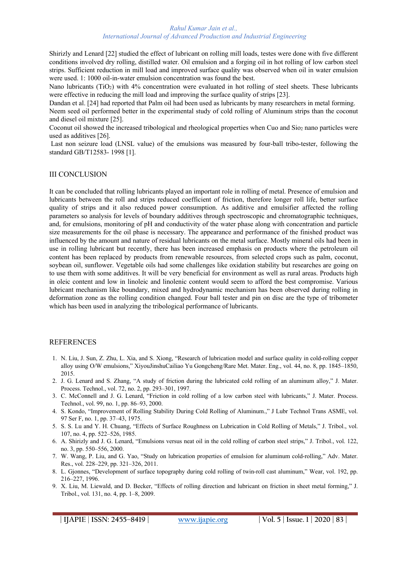#### *Rahul Kumar Jain et al., International Journal of Advanced Production and Industrial Engineering*

Shirizly and Lenard [22] studied the effect of lubricant on rolling mill loads, testes were done with five different conditions involved dry rolling, distilled water. Oil emulsion and a forging oil in hot rolling of low carbon steel strips. Sufficient reduction in mill load and improved surface quality was observed when oil in water emulsion were used. 1: 1000 oil-in-water emulsion concentration was found the best.

Nano lubricants (TiO2) with 4% concentration were evaluated in hot rolling of steel sheets. These lubricants were effective in reducing the mill load and improving the surface quality of strips [23].

Dandan et al. [24] had reported that Palm oil had been used as lubricants by many researchers in metal forming.

Neem seed oil performed better in the experimental study of cold rolling of Aluminum strips than the coconut and diesel oil mixture [25].

Coconut oil showed the increased tribological and rheological properties when Cuo and Sio<sub>2</sub> nano particles were used as additives [26].

Last non seizure load (LNSL value) of the emulsions was measured by four-ball tribo-tester, following the standard GB/T12583- 1998 [1].

### III CONCLUSION

It can be concluded that rolling lubricants played an important role in rolling of metal. Presence of emulsion and lubricants between the roll and strips reduced coefficient of friction, therefore longer roll life, better surface quality of strips and it also reduced power consumption. As additive and emulsifier affected the rolling parameters so analysis for levels of boundary additives through spectroscopic and chromatographic techniques, and, for emulsions, monitoring of pH and conductivity of the water phase along with concentration and particle size measurements for the oil phase is necessary. The appearance and performance of the finished product was influenced by the amount and nature of residual lubricants on the metal surface. Mostly mineral oils had been in use in rolling lubricant but recently, there has been increased emphasis on products where the petroleum oil content has been replaced by products from renewable resources, from selected crops such as palm, coconut, soybean oil, sunflower. Vegetable oils had some challenges like oxidation stability but researches are going on to use them with some additives. It will be very beneficial for environment as well as rural areas. Products high in oleic content and low in linoleic and linolenic content would seem to afford the best compromise. Various lubricant mechanism like boundary, mixed and hydrodynamic mechanism has been observed during rolling in deformation zone as the rolling condition changed. Four ball tester and pin on disc are the type of tribometer which has been used in analyzing the tribological performance of lubricants.

### REFERENCES

- 1. N. Liu, J. Sun, Z. Zhu, L. Xia, and S. Xiong, "Research of lubrication model and surface quality in cold-rolling copper alloy using O/W emulsions," XiyouJinshuCailiao Yu Gongcheng/Rare Met. Mater. Eng., vol. 44, no. 8, pp. 1845–1850, 2015.
- 2. J. G. Lenard and S. Zhang, "A study of friction during the lubricated cold rolling of an aluminum alloy," J. Mater. Process. Technol., vol. 72, no. 2, pp. 293–301, 1997.
- 3. C. McConnell and J. G. Lenard, "Friction in cold rolling of a low carbon steel with lubricants," J. Mater. Process. Technol., vol. 99, no. 1, pp. 86–93, 2000.
- 4. S. Kondo, "Improvement of Rolling Stability During Cold Rolling of Aluminum.," J Lubr Technol Trans ASME, vol. 97 Ser F, no. 1, pp. 37–43, 1975.
- 5. S. S. Lu and Y. H. Chuang, "Effects of Surface Roughness on Lubrication in Cold Rolling of Metals," J. Tribol., vol. 107, no. 4, pp. 522–526, 1985.
- 6. A. Shirizly and J. G. Lenard, "Emulsions versus neat oil in the cold rolling of carbon steel strips," J. Tribol., vol. 122, no. 3, pp. 550–556, 2000.
- 7. W. Wang, P. Liu, and G. Yao, "Study on lubrication properties of emulsion for aluminum cold-rolling," Adv. Mater. Res., vol. 228–229, pp. 321–326, 2011.
- 8. L. Gjonnes, "Development of surface topography during cold rolling of twin-roll cast aluminum," Wear, vol. 192, pp. 216–227, 1996.
- 9. X. Liu, M. Liewald, and D. Becker, "Effects of rolling direction and lubricant on friction in sheet metal forming," J. Tribol., vol. 131, no. 4, pp. 1–8, 2009.